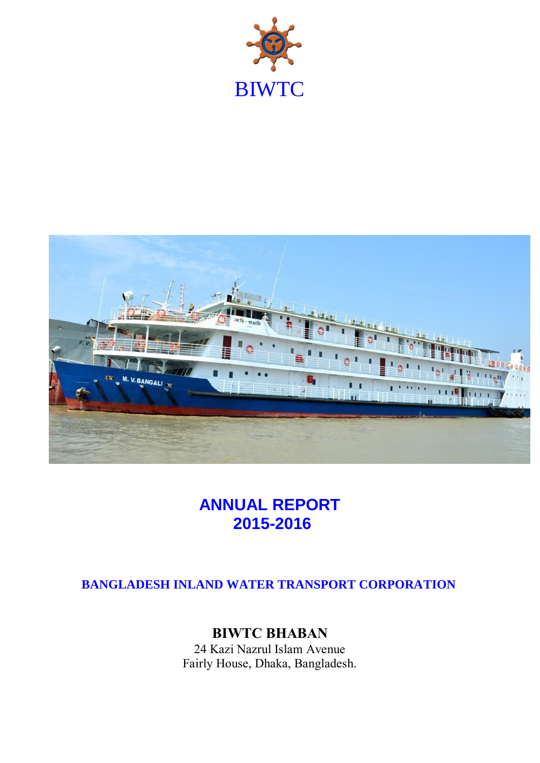



# **ANNUAL REPORT 2015-2016**

## **BANGLADESH INLAND WATER TRANSPORT CORPORATION**

## **BIWTC BHABAN**

24 Kazi Nazrul Islam Avenue Fairly House, Dhaka, Bangladesh.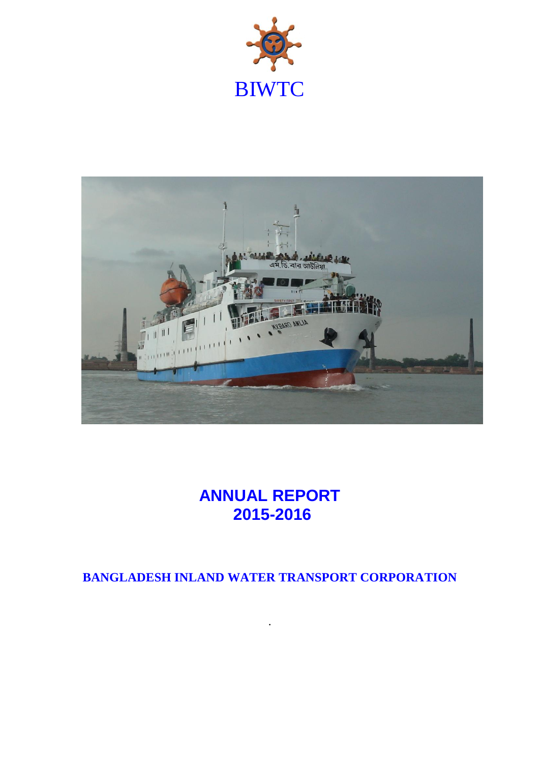



# **ANNUAL REPORT 2015-2016**

**BANGLADESH INLAND WATER TRANSPORT CORPORATION**

.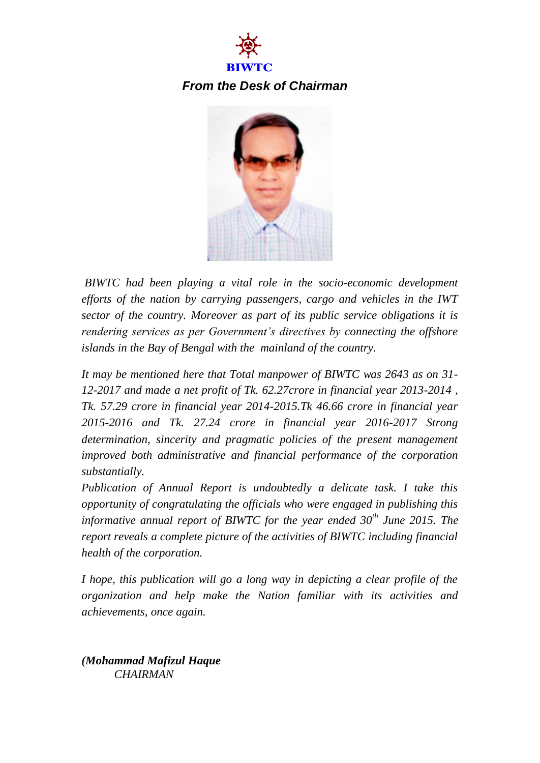



*BIWTC had been playing a vital role in the socio-economic development efforts of the nation by carrying passengers, cargo and vehicles in the IWT sector of the country. Moreover as part of its public service obligations it is rendering services as per Government's directives by connecting the offshore islands in the Bay of Bengal with the mainland of the country.*

*It may be mentioned here that Total manpower of BIWTC was 2643 as on 31- 12-2017 and made a net profit of Tk. 62.27crore in financial year 2013-2014 , Tk. 57.29 crore in financial year 2014-2015.Tk 46.66 crore in financial year 2015-2016 and Tk. 27.24 crore in financial year 2016-2017 Strong determination, sincerity and pragmatic policies of the present management improved both administrative and financial performance of the corporation substantially.* 

*Publication of Annual Report is undoubtedly a delicate task. I take this opportunity of congratulating the officials who were engaged in publishing this informative annual report of BIWTC for the year ended 30th June 2015. The report reveals a complete picture of the activities of BIWTC including financial health of the corporation.*

*I hope, this publication will go a long way in depicting a clear profile of the organization and help make the Nation familiar with its activities and achievements, once again.*

*(Mohammad Mafizul Haque CHAIRMAN*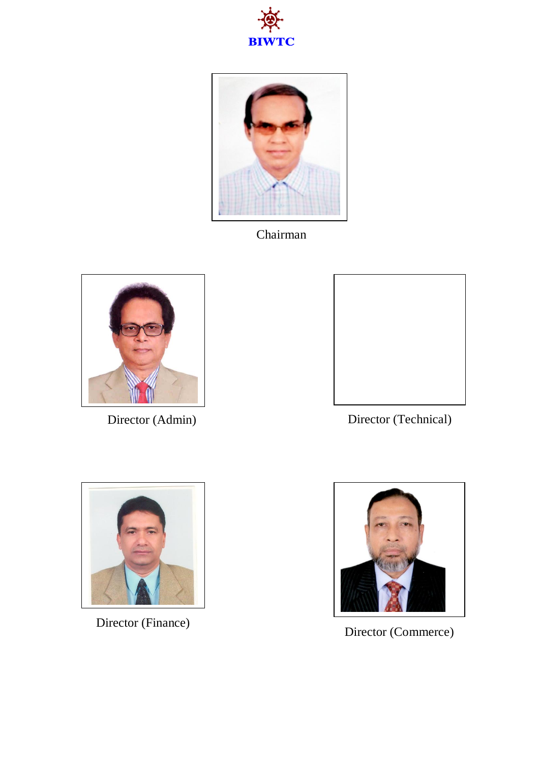



Chairman





Director (Admin) Director (Technical)



Director (Finance)



Director (Commerce)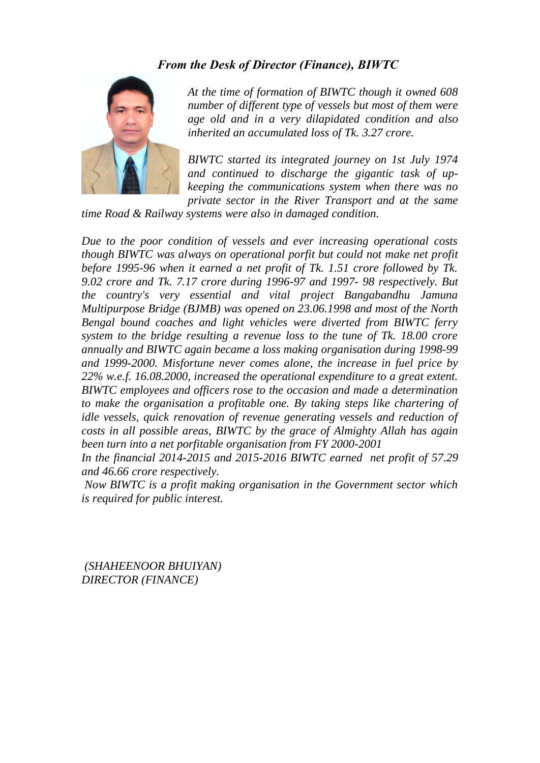#### *From the Desk of Director (Finance), BIWTC*



*At the time of formation of BIWTC though it owned 608 number of different type of vessels but most of them were age old and in a very dilapidated condition and also inherited an accumulated loss of Tk. 3.27 crore.* 

*BIWTC started its integrated journey on 1st July 1974 and continued to discharge the gigantic task of upkeeping the communications system when there was no private sector in the River Transport and at the same* 

*time Road & Railway systems were also in damaged condition.* 

*Due to the poor condition of vessels and ever increasing operational costs though BIWTC was always on operational porfit but could not make net profit before 1995-96 when it earned a net profit of Tk. 1.51 crore followed by Tk. 9.02 crore and Tk. 7.17 crore during 1996-97 and 1997- 98 respectively. But the country's very essential and vital project Bangabandhu Jamuna Multipurpose Bridge (BJMB) was opened on 23.06.1998 and most of the North Bengal bound coaches and light vehicles were diverted from BIWTC ferry system to the bridge resulting a revenue loss to the tune of Tk. 18.00 crore annually and BIWTC again became a loss making organisation during 1998-99 and 1999-2000. Misfortune never comes alone, the increase in fuel price by 22% w.e.f. 16.08.2000, increased the operational expenditure to a great extent. BIWTC employees and officers rose to the occasion and made a determination to make the organisation a profitable one. By taking steps like chartering of idle vessels, quick renovation of revenue generating vessels and reduction of costs in all possible areas, BIWTC by the grace of Almighty Allah has again been turn into a net porfitable organisation from FY 2000-2001*

*In the financial 2014-2015 and 2015-2016 BIWTC earned net profit of 57.29 and 46.66 crore respectively.*

*Now BIWTC is a profit making organisation in the Government sector which is required for public interest.*

*(SHAHEENOOR BHUIYAN) DIRECTOR (FINANCE)*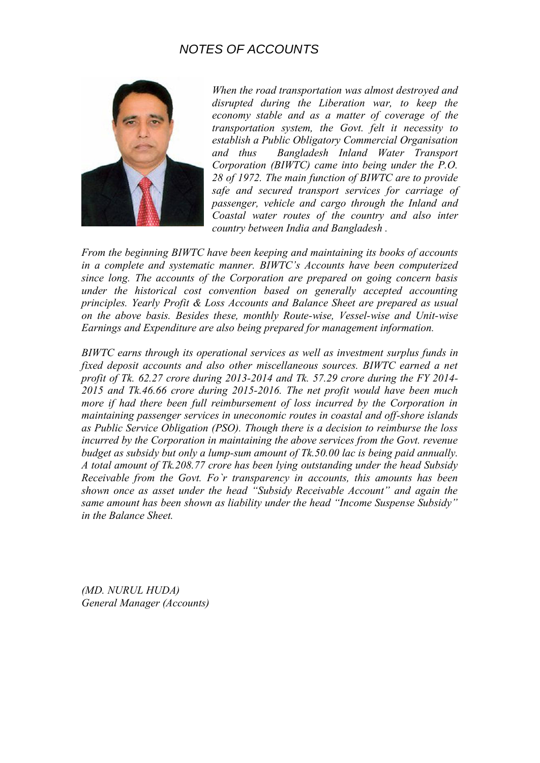### *NOTES OF ACCOUNTS*



*When the road transportation was almost destroyed and disrupted during the Liberation war, to keep the economy stable and as a matter of coverage of the transportation system, the Govt. felt it necessity to establish a Public Obligatory Commercial Organisation and thus Bangladesh Inland Water Transport Corporation (BIWTC) came into being under the P.O. 28 of 1972. The main function of BIWTC are to provide safe and secured transport services for carriage of passenger, vehicle and cargo through the Inland and Coastal water routes of the country and also inter country between India and Bangladesh .*

*From the beginning BIWTC have been keeping and maintaining its books of accounts in a complete and systematic manner. BIWTC's Accounts have been computerized since long. The accounts of the Corporation are prepared on going concern basis under the historical cost convention based on generally accepted accounting principles. Yearly Profit & Loss Accounts and Balance Sheet are prepared as usual on the above basis. Besides these, monthly Route-wise, Vessel-wise and Unit-wise Earnings and Expenditure are also being prepared for management information.*

*BIWTC earns through its operational services as well as investment surplus funds in fixed deposit accounts and also other miscellaneous sources. BIWTC earned a net profit of Tk. 62.27 crore during 2013-2014 and Tk. 57.29 crore during the FY 2014- 2015 and Tk.46.66 crore during 2015-2016. The net profit would have been much more if had there been full reimbursement of loss incurred by the Corporation in maintaining passenger services in uneconomic routes in coastal and off-shore islands as Public Service Obligation (PSO). Though there is a decision to reimburse the loss incurred by the Corporation in maintaining the above services from the Govt. revenue budget as subsidy but only a lump-sum amount of Tk.50.00 lac is being paid annually. A total amount of Tk.208.77 crore has been lying outstanding under the head Subsidy Receivable from the Govt. Fo`r transparency in accounts, this amounts has been shown once as asset under the head "Subsidy Receivable Account" and again the same amount has been shown as liability under the head "Income Suspense Subsidy" in the Balance Sheet.*

*(MD. NURUL HUDA) General Manager (Accounts)*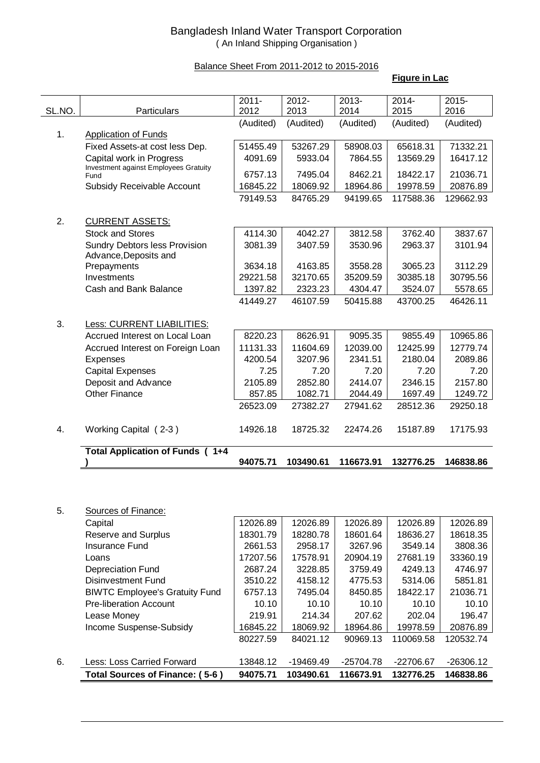#### Bangladesh Inland Water Transport Corporation ( An Inland Shipping Organisation )

#### Balance Sheet From 2011-2012 to 2015-2016

#### **Figure in Lac**

| SL.NO. | <b>Particulars</b>                             | $2011 -$<br>2012 | $2012 -$<br>2013 | $2013 -$<br>2014 | $2014 -$<br>2015 | $2015 -$<br>2016 |
|--------|------------------------------------------------|------------------|------------------|------------------|------------------|------------------|
|        |                                                | (Audited)        | (Audited)        | (Audited)        | (Audited)        | (Audited)        |
| 1.     | <b>Application of Funds</b>                    |                  |                  |                  |                  |                  |
|        | Fixed Assets-at cost less Dep.                 | 51455.49         | 53267.29         | 58908.03         | 65618.31         | 71332.21         |
|        | Capital work in Progress                       | 4091.69          | 5933.04          | 7864.55          | 13569.29         | 16417.12         |
|        | Investment against Employees Gratuity          |                  |                  |                  |                  |                  |
|        | Fund                                           | 6757.13          | 7495.04          | 8462.21          | 18422.17         | 21036.71         |
|        | Subsidy Receivable Account                     | 16845.22         | 18069.92         | 18964.86         | 19978.59         | 20876.89         |
|        |                                                | 79149.53         | 84765.29         | 94199.65         | 117588.36        | 129662.93        |
| 2.     | <b>CURRENT ASSETS:</b>                         |                  |                  |                  |                  |                  |
|        | <b>Stock and Stores</b>                        | 4114.30          | 4042.27          | 3812.58          | 3762.40          | 3837.67          |
|        | <b>Sundry Debtors less Provision</b>           | 3081.39          | 3407.59          | 3530.96          | 2963.37          | 3101.94          |
|        | Advance, Deposits and                          |                  |                  |                  |                  |                  |
|        | Prepayments                                    | 3634.18          | 4163.85          | 3558.28          | 3065.23          | 3112.29          |
|        | Investments                                    | 29221.58         | 32170.65         | 35209.59         | 30385.18         | 30795.56         |
|        | Cash and Bank Balance                          | 1397.82          | 2323.23          | 4304.47          | 3524.07          | 5578.65          |
|        |                                                | 41449.27         | 46107.59         | 50415.88         | 43700.25         | 46426.11         |
|        |                                                |                  |                  |                  |                  |                  |
| 3.     | Less: CURRENT LIABILITIES:                     |                  |                  |                  |                  |                  |
|        | Accrued Interest on Local Loan                 | 8220.23          | 8626.91          | 9095.35          | 9855.49          | 10965.86         |
|        | Accrued Interest on Foreign Loan               | 11131.33         | 11604.69         | 12039.00         | 12425.99         | 12779.74         |
|        | Expenses                                       | 4200.54          | 3207.96          | 2341.51          | 2180.04          | 2089.86          |
|        | <b>Capital Expenses</b>                        | 7.25             | 7.20             | 7.20             | 7.20             | 7.20             |
|        | Deposit and Advance                            | 2105.89          | 2852.80          | 2414.07          | 2346.15          | 2157.80          |
|        | <b>Other Finance</b>                           | 857.85           | 1082.71          | 2044.49          | 1697.49          | 1249.72          |
|        |                                                | 26523.09         | 27382.27         | 27941.62         | 28512.36         | 29250.18         |
| 4.     | Working Capital (2-3)                          | 14926.18         | 18725.32         | 22474.26         | 15187.89         | 17175.93         |
|        | <b>Total Application of Funds (</b><br>$1 + 4$ |                  |                  |                  |                  |                  |
|        |                                                | 94075.71         | 103490.61        | 116673.91        | 132776.25        | 146838.86        |
|        |                                                |                  |                  |                  |                  |                  |
|        |                                                |                  |                  |                  |                  |                  |
|        |                                                |                  |                  |                  |                  |                  |
| 5.     | Sources of Finance:                            |                  |                  |                  |                  |                  |

| 5. | Sources of Finance: |  |  |
|----|---------------------|--|--|
|    |                     |  |  |

|    | Total Sources of Finance: (5-6)       | 94075.71 | 103490.61   | 116673.91 | 132776.25   | 146838.86   |
|----|---------------------------------------|----------|-------------|-----------|-------------|-------------|
| 6. | <b>Less: Loss Carried Forward</b>     | 13848.12 | $-19469.49$ | -25704.78 | $-22706.67$ | $-26306.12$ |
|    |                                       | 80227.59 | 84021.12    | 90969.13  | 110069.58   | 120532.74   |
|    | Income Suspense-Subsidy               | 16845.22 | 18069.92    | 18964.86  | 19978.59    | 20876.89    |
|    | Lease Money                           | 219.91   | 214.34      | 207.62    | 202.04      | 196.47      |
|    | <b>Pre-liberation Account</b>         | 10.10    | 10.10       | 10.10     | 10.10       | 10.10       |
|    | <b>BIWTC Employee's Gratuity Fund</b> | 6757.13  | 7495.04     | 8450.85   | 18422.17    | 21036.71    |
|    | Disinvestment Fund                    | 3510.22  | 4158.12     | 4775.53   | 5314.06     | 5851.81     |
|    | <b>Depreciation Fund</b>              | 2687.24  | 3228.85     | 3759.49   | 4249.13     | 4746.97     |
|    | Loans                                 | 17207.56 | 17578.91    | 20904.19  | 27681.19    | 33360.19    |
|    | Insurance Fund                        | 2661.53  | 2958.17     | 3267.96   | 3549.14     | 3808.36     |
|    | <b>Reserve and Surplus</b>            | 18301.79 | 18280.78    | 18601.64  | 18636.27    | 18618.35    |
|    | Capital                               | 12026.89 | 12026.89    | 12026.89  | 12026.89    | 12026.89    |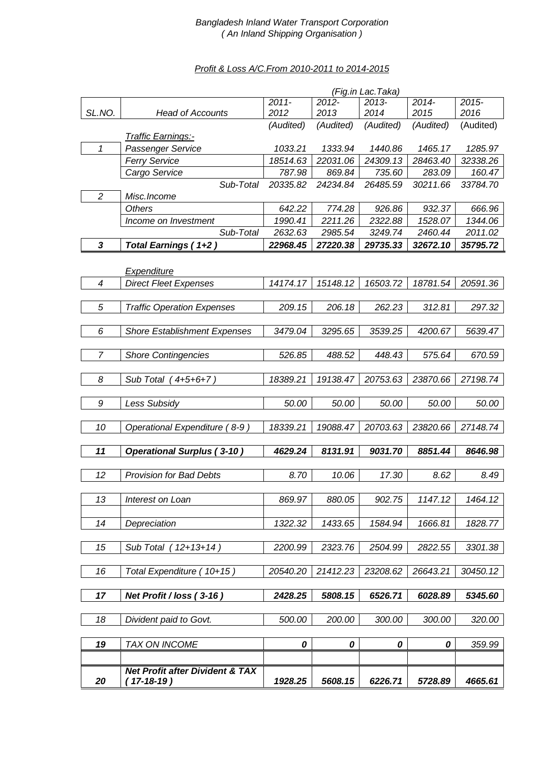#### *Bangladesh Inland Water Transport Corporation ( An Inland Shipping Organisation )*

#### *Profit & Loss A/C.From 2010-2011 to 2014-2015*

|                          |                                            |           |           | (Fig.in Lac.Taka) |           |           |
|--------------------------|--------------------------------------------|-----------|-----------|-------------------|-----------|-----------|
|                          |                                            | $2011 -$  | $2012 -$  | $2013 -$          | $2014 -$  | $2015 -$  |
| SL.NO.                   | <b>Head of Accounts</b>                    | 2012      | 2013      | 2014              | 2015      | 2016      |
|                          | <b>Traffic Earnings:-</b>                  | (Audited) | (Audited) | (Audited)         | (Audited) | (Audited) |
| 1                        | Passenger Service                          | 1033.21   | 1333.94   | 1440.86           | 1465.17   | 1285.97   |
|                          | <b>Ferry Service</b>                       | 18514.63  | 22031.06  | 24309.13          | 28463.40  | 32338.26  |
|                          | Cargo Service                              | 787.98    | 869.84    | 735.60            | 283.09    | 160.47    |
|                          | Sub-Total                                  | 20335.82  | 24234.84  | 26485.59          | 30211.66  | 33784.70  |
| $\overline{c}$           | Misc.Income                                |           |           |                   |           |           |
|                          | <b>Others</b>                              | 642.22    | 774.28    | 926.86            | 932.37    | 666.96    |
|                          | Income on Investment                       | 1990.41   | 2211.26   | 2322.88           | 1528.07   | 1344.06   |
|                          | Sub-Total                                  | 2632.63   | 2985.54   | 3249.74           | 2460.44   | 2011.02   |
| 3                        | Total Earnings (1+2)                       | 22968.45  | 27220.38  | 29735.33          | 32672.10  | 35795.72  |
|                          |                                            |           |           |                   |           |           |
|                          | Expenditure                                |           |           |                   |           |           |
| $\overline{\mathcal{A}}$ | <b>Direct Fleet Expenses</b>               | 14174.17  | 15148.12  | 16503.72          | 18781.54  | 20591.36  |
|                          |                                            |           |           |                   |           |           |
| 5                        | <b>Traffic Operation Expenses</b>          | 209.15    | 206.18    | 262.23            | 312.81    | 297.32    |
|                          |                                            |           |           |                   |           |           |
| 6                        | <b>Shore Establishment Expenses</b>        | 3479.04   | 3295.65   | 3539.25           | 4200.67   | 5639.47   |
|                          |                                            |           |           |                   |           |           |
| $\overline{7}$           | <b>Shore Contingencies</b>                 | 526.85    | 488.52    | 448.43            | 575.64    | 670.59    |
| 8                        | Sub Total (4+5+6+7)                        | 18389.21  | 19138.47  | 20753.63          | 23870.66  | 27198.74  |
|                          |                                            |           |           |                   |           |           |
| 9                        | Less Subsidy                               | 50.00     | 50.00     | 50.00             | 50.00     | 50.00     |
|                          |                                            |           |           |                   |           |           |
| 10                       | Operational Expenditure (8-9)              | 18339.21  | 19088.47  | 20703.63          | 23820.66  | 27148.74  |
|                          |                                            |           |           |                   |           |           |
| 11                       | <b>Operational Surplus (3-10)</b>          | 4629.24   | 8131.91   | 9031.70           | 8851.44   | 8646.98   |
|                          |                                            |           |           |                   |           |           |
| 12                       | <b>Provision for Bad Debts</b>             | 8.70      | 10.06     | 17.30             | 8.62      | 8.49      |
|                          |                                            |           |           |                   |           |           |
| 13                       | Interest on Loan                           | 869.97    | 880.05    | 902.75            | 1147.12   | 1464.12   |
|                          |                                            |           |           |                   |           |           |
| 14                       | Depreciation                               | 1322.32   | 1433.65   | 1584.94           | 1666.81   | 1828.77   |
|                          |                                            |           |           |                   |           |           |
| 15                       | Sub Total<br>$12+13+14$ )                  | 2200.99   | 2323.76   | 2504.99           | 2822.55   | 3301.38   |
| 16                       | Total Expenditure (10+15)                  | 20540.20  | 21412.23  | 23208.62          | 26643.21  | 30450.12  |
|                          |                                            |           |           |                   |           |           |
| 17                       | Net Profit / loss (3-16)                   | 2428.25   | 5808.15   | 6526.71           | 6028.89   | 5345.60   |
|                          |                                            |           |           |                   |           |           |
| 18                       | Divident paid to Govt.                     | 500.00    | 200.00    | 300.00            | 300.00    | 320.00    |
|                          |                                            |           |           |                   |           |           |
| 19                       | TAX ON INCOME                              | 0         | 0         | 0                 | 0         | 359.99    |
|                          |                                            |           |           |                   |           |           |
|                          | <b>Net Profit after Divident &amp; TAX</b> |           |           |                   |           |           |
| 20                       | (17-18-19)                                 | 1928.25   | 5608.15   | 6226.71           | 5728.89   | 4665.61   |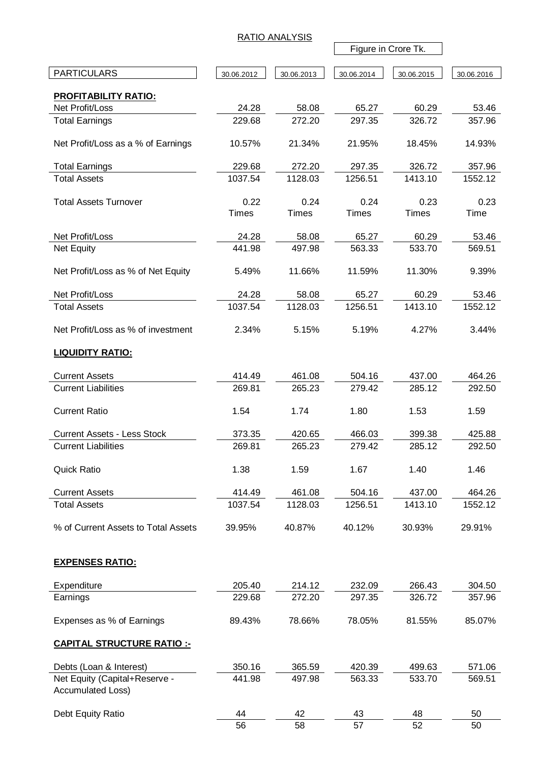|                                                    |                  | <b>RATIO ANALYSIS</b> |                  |                     |                  |
|----------------------------------------------------|------------------|-----------------------|------------------|---------------------|------------------|
|                                                    |                  |                       |                  | Figure in Crore Tk. |                  |
| <b>PARTICULARS</b>                                 | 30.06.2012       | 30.06.2013            | 30.06.2014       | 30.06.2015          | 30.06.2016       |
| <b>PROFITABILITY RATIO:</b>                        |                  |                       |                  |                     |                  |
| Net Profit/Loss                                    | 24.28            | 58.08                 | 65.27            | 60.29               | 53.46            |
| <b>Total Earnings</b>                              | 229.68           | 272.20                | 297.35           | 326.72              | 357.96           |
| Net Profit/Loss as a % of Earnings                 | 10.57%           | 21.34%                | 21.95%           | 18.45%              | 14.93%           |
| <b>Total Earnings</b>                              | 229.68           | 272.20                | 297.35           | 326.72              | 357.96           |
| <b>Total Assets</b>                                | 1037.54          | 1128.03               | 1256.51          | 1413.10             | 1552.12          |
| <b>Total Assets Turnover</b>                       | 0.22             | 0.24                  | 0.24             | 0.23                | 0.23             |
|                                                    | <b>Times</b>     | <b>Times</b>          | <b>Times</b>     | <b>Times</b>        | Time             |
|                                                    |                  |                       |                  |                     |                  |
| Net Profit/Loss<br><b>Net Equity</b>               | 24.28<br>441.98  | 58.08<br>497.98       | 65.27<br>563.33  | 60.29<br>533.70     | 53.46<br>569.51  |
|                                                    |                  |                       |                  |                     |                  |
| Net Profit/Loss as % of Net Equity                 | 5.49%            | 11.66%                | 11.59%           | 11.30%              | 9.39%            |
| Net Profit/Loss                                    | 24.28            | 58.08                 | 65.27            | 60.29               | 53.46            |
| <b>Total Assets</b>                                | 1037.54          | 1128.03               | 1256.51          | 1413.10             | 1552.12          |
|                                                    |                  |                       |                  |                     |                  |
| Net Profit/Loss as % of investment                 | 2.34%            | 5.15%                 | 5.19%            | 4.27%               | 3.44%            |
| <b>LIQUIDITY RATIO:</b>                            |                  |                       |                  |                     |                  |
| <b>Current Assets</b>                              | 414.49           | 461.08                | 504.16           | 437.00              | 464.26           |
| <b>Current Liabilities</b>                         | 269.81           | 265.23                | 279.42           | 285.12              | 292.50           |
| <b>Current Ratio</b>                               | 1.54             | 1.74                  | 1.80             | 1.53                | 1.59             |
| <b>Current Assets - Less Stock</b>                 | 373.35           | 420.65                | 466.03           | 399.38              | 425.88           |
| <b>Current Liabilities</b>                         | 269.81           | 265.23                | 279.42           | 285.12              | 292.50           |
| <b>Quick Ratio</b>                                 | 1.38             | 1.59                  | 1.67             | 1.40                | 1.46             |
| <b>Current Assets</b>                              | 414.49           | 461.08                | 504.16           | 437.00              | 464.26           |
| <b>Total Assets</b>                                | 1037.54          | 1128.03               | 1256.51          | 1413.10             | 1552.12          |
| % of Current Assets to Total Assets                | 39.95%           | 40.87%                | 40.12%           | 30.93%              | 29.91%           |
| <b>EXPENSES RATIO:</b>                             |                  |                       |                  |                     |                  |
|                                                    |                  |                       |                  |                     |                  |
| Expenditure<br>Earnings                            | 205.40<br>229.68 | 214.12<br>272.20      | 232.09<br>297.35 | 266.43<br>326.72    | 304.50<br>357.96 |
|                                                    |                  |                       |                  |                     |                  |
| Expenses as % of Earnings                          | 89.43%           | 78.66%                | 78.05%           | 81.55%              | 85.07%           |
| <b>CAPITAL STRUCTURE RATIO:-</b>                   |                  |                       |                  |                     |                  |
| Debts (Loan & Interest)                            | 350.16           | 365.59                | 420.39           | 499.63              | 571.06           |
| Net Equity (Capital+Reserve -<br>Accumulated Loss) | 441.98           | 497.98                | 563.33           | 533.70              | 569.51           |
| Debt Equity Ratio                                  | 44               | 42                    | 43               | 48                  | 50               |
|                                                    | 56               | 58                    | 57               | 52                  | 50               |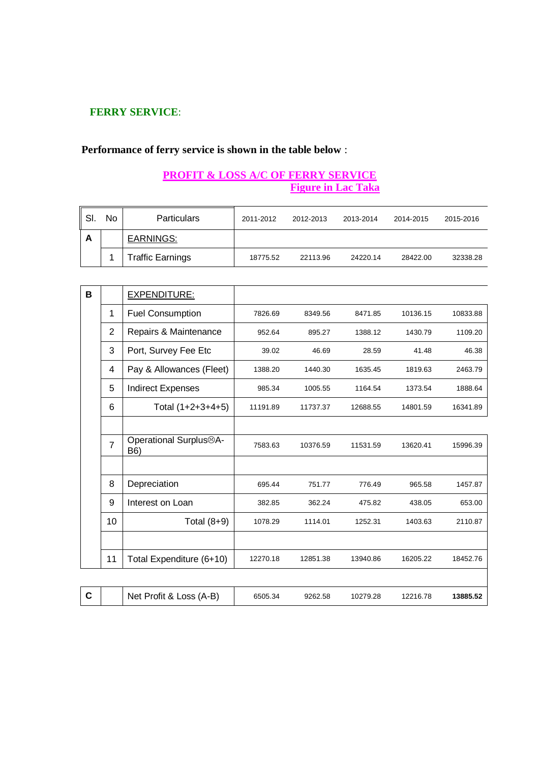#### **FERRY SERVICE**:

## **Performance of ferry service is shown in the table below** :

#### **PROFIT & LOSS A/C OF FERRY SERVICE Figure in Lac Taka**

| -SI. | No | <b>Particulars</b> | 2011-2012 | 2012-2013 | 2013-2014 | 2014-2015 | 2015-2016 |
|------|----|--------------------|-----------|-----------|-----------|-----------|-----------|
| А    |    | <b>EARNINGS:</b>   |           |           |           |           |           |
|      |    | Traffic Earnings   | 18775.52  | 22113.96  | 24220.14  | 28422.00  | 32338.28  |

| В |                | <b>EXPENDITURE:</b>                        |          |          |          |          |          |
|---|----------------|--------------------------------------------|----------|----------|----------|----------|----------|
|   | 1              | <b>Fuel Consumption</b>                    | 7826.69  | 8349.56  | 8471.85  | 10136.15 | 10833.88 |
|   | $\overline{2}$ | Repairs & Maintenance                      | 952.64   | 895.27   | 1388.12  | 1430.79  | 1109.20  |
|   | 3              | Port, Survey Fee Etc                       | 39.02    | 46.69    | 28.59    | 41.48    | 46.38    |
|   | 4              | Pay & Allowances (Fleet)                   | 1388.20  | 1440.30  | 1635.45  | 1819.63  | 2463.79  |
|   | 5              | <b>Indirect Expenses</b>                   | 985.34   | 1005.55  | 1164.54  | 1373.54  | 1888.64  |
|   | 6              | Total (1+2+3+4+5)                          | 11191.89 | 11737.37 | 12688.55 | 14801.59 | 16341.89 |
|   |                |                                            |          |          |          |          |          |
|   | $\overline{7}$ | Operational Surplus <sup>®</sup> A-<br>B6) | 7583.63  | 10376.59 | 11531.59 | 13620.41 | 15996.39 |
|   |                |                                            |          |          |          |          |          |
|   | 8              | Depreciation                               | 695.44   | 751.77   | 776.49   | 965.58   | 1457.87  |
|   | 9              | Interest on Loan                           | 382.85   | 362.24   | 475.82   | 438.05   | 653.00   |
|   | 10             | Total $(8+9)$                              | 1078.29  | 1114.01  | 1252.31  | 1403.63  | 2110.87  |
|   |                |                                            |          |          |          |          |          |
|   | 11             | Total Expenditure (6+10)                   | 12270.18 | 12851.38 | 13940.86 | 16205.22 | 18452.76 |
|   |                |                                            |          |          |          |          |          |
|   |                |                                            |          |          |          |          |          |

|  | Net Profit & Loss (A-B) | 6505.34 | 9262.58 | 10279.28 | 12216.78 | 13885.52 |
|--|-------------------------|---------|---------|----------|----------|----------|
|--|-------------------------|---------|---------|----------|----------|----------|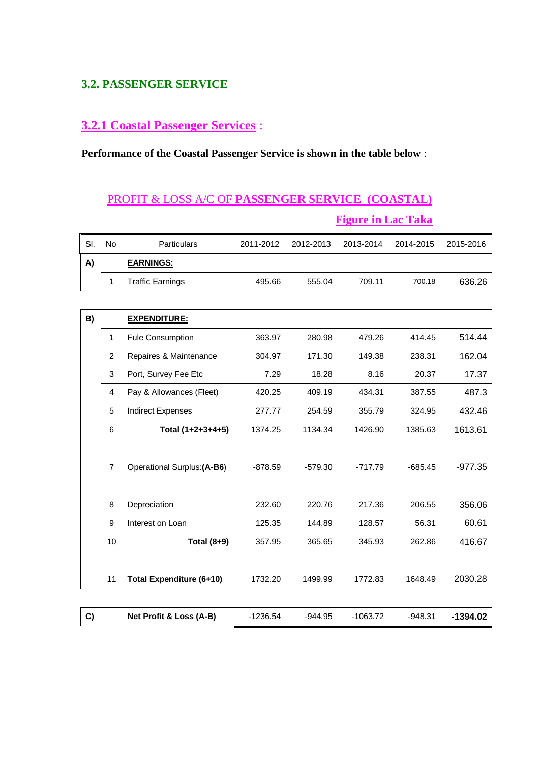#### **3.2. PASSENGER SERVICE**

#### **3.2.1 Coastal Passenger Services** :

**Performance of the Coastal Passenger Service is shown in the table below** :

# PROFIT & LOSS A/C OF **PASSENGER SERVICE (COASTAL) Figure in Lac Taka**

| SI. | No             | Particulars                     | 2011-2012  | 2012-2013 | 2013-2014  | 2014-2015 | 2015-2016  |
|-----|----------------|---------------------------------|------------|-----------|------------|-----------|------------|
| A)  |                | <b>EARNINGS:</b>                |            |           |            |           |            |
|     | $\mathbf{1}$   | <b>Traffic Earnings</b>         | 495.66     | 555.04    | 709.11     | 700.18    | 636.26     |
|     |                |                                 |            |           |            |           |            |
| B)  |                | <b>EXPENDITURE:</b>             |            |           |            |           |            |
|     | 1              | Fule Consumption                | 363.97     | 280.98    | 479.26     | 414.45    | 514.44     |
|     | 2              | Repaires & Maintenance          | 304.97     | 171.30    | 149.38     | 238.31    | 162.04     |
|     | 3              | Port, Survey Fee Etc            | 7.29       | 18.28     | 8.16       | 20.37     | 17.37      |
|     | $\overline{4}$ | Pay & Allowances (Fleet)        | 420.25     | 409.19    | 434.31     | 387.55    | 487.3      |
|     | 5              | <b>Indirect Expenses</b>        | 277.77     | 254.59    | 355.79     | 324.95    | 432.46     |
|     | 6              | Total (1+2+3+4+5)               | 1374.25    | 1134.34   | 1426.90    | 1385.63   | 1613.61    |
|     |                |                                 |            |           |            |           |            |
|     | $\overline{7}$ | Operational Surplus: (A-B6)     | $-878.59$  | $-579.30$ | $-717.79$  | $-685.45$ | $-977.35$  |
|     |                |                                 |            |           |            |           |            |
|     | 8              | Depreciation                    | 232.60     | 220.76    | 217.36     | 206.55    | 356.06     |
|     | 9              | Interest on Loan                | 125.35     | 144.89    | 128.57     | 56.31     | 60.61      |
|     | 10             | Total (8+9)                     | 357.95     | 365.65    | 345.93     | 262.86    | 416.67     |
|     |                |                                 |            |           |            |           |            |
|     | 11             | <b>Total Expenditure (6+10)</b> | 1732.20    | 1499.99   | 1772.83    | 1648.49   | 2030.28    |
|     |                |                                 |            |           |            |           |            |
| C)  |                | Net Profit & Loss (A-B)         | $-1236.54$ | $-944.95$ | $-1063.72$ | $-948.31$ | $-1394.02$ |